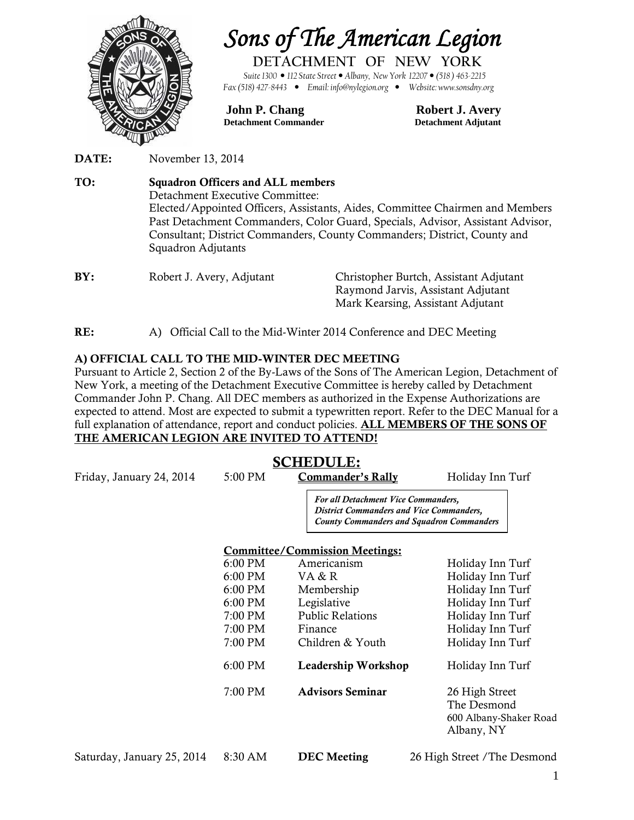

# *Sons of The American Legion*

**DETACHMENT OF NEW YORK**

*Suite1300 112 State Street Albany, New York 12207 (518 ) 463-2215 Fax (518) 427-8443 Email: info@nylegion.org Website: www.sonsdny.org*

#### **John P. Chang Robert J. Avery Detachment Commander Detachment Adjutant**

**DATE:** November 13, 2014

**TO: Squadron Officers and ALL members** Detachment Executive Committee: Elected/Appointed Officers, Assistants, Aides, Committee Chairmen and Members Past Detachment Commanders, Color Guard, Specials, Advisor, Assistant Advisor, Consultant; District Commanders, County Commanders; District, County and Squadron Adjutants **BY:** Robert J. Avery, Adjutant Christopher Burtch, Assistant Adjutant

| BY: | Robert J. Avery, Adjutant | Christopher Burtch, Assistant Adjutant |  |
|-----|---------------------------|----------------------------------------|--|
|     |                           | Raymond Jarvis, Assistant Adjutant     |  |
|     |                           | Mark Kearsing, Assistant Adjutant      |  |
|     |                           |                                        |  |

**RE:** A) Official Call to the Mid-Winter 2014 Conference and DEC Meeting

#### **A) OFFICIAL CALL TO THE MID-WINTER DEC MEETING**

Pursuant to Article 2, Section 2 of the By-Laws of the Sons of The American Legion, Detachment of New York, a meeting of the Detachment Executive Committee is hereby called by Detachment Commander John P. Chang. All DEC members as authorized in the Expense Authorizations are expected to attend. Most are expected to submit a typewritten report. Refer to the DEC Manual for a full explanation of attendance, report and conduct policies. **ALL MEMBERS OF THE SONS OF THE AMERICAN LEGION ARE INVITED TO ATTEND!**

## **SCHEDULE:**

Friday, January 24, 2014 5:00 PM **Commander's Rally** Holiday Inn Turf

*For all Detachment Vice Commanders, District Commanders and Vice Commanders, County Commanders and Squadron Commanders*

#### **Committee/Commission Meetings:**

| 6:00 PM | Americanism             | Holiday Inn Turf       |  |
|---------|-------------------------|------------------------|--|
| 6:00 PM | VA & R                  | Holiday Inn Turf       |  |
| 6:00 PM | Membership              | Holiday Inn Turf       |  |
| 6:00 PM | Legislative             | Holiday Inn Turf       |  |
| 7:00 PM | <b>Public Relations</b> | Holiday Inn Turf       |  |
| 7:00 PM | Finance                 | Holiday Inn Turf       |  |
| 7:00 PM | Children & Youth        | Holiday Inn Turf       |  |
| 6:00 PM | Leadership Workshop     | Holiday Inn Turf       |  |
| 7:00 PM | <b>Advisors Seminar</b> | 26 High Street         |  |
|         |                         | The Desmond            |  |
|         |                         | 600 Albany-Shaker Road |  |
|         |                         | Albany, NY             |  |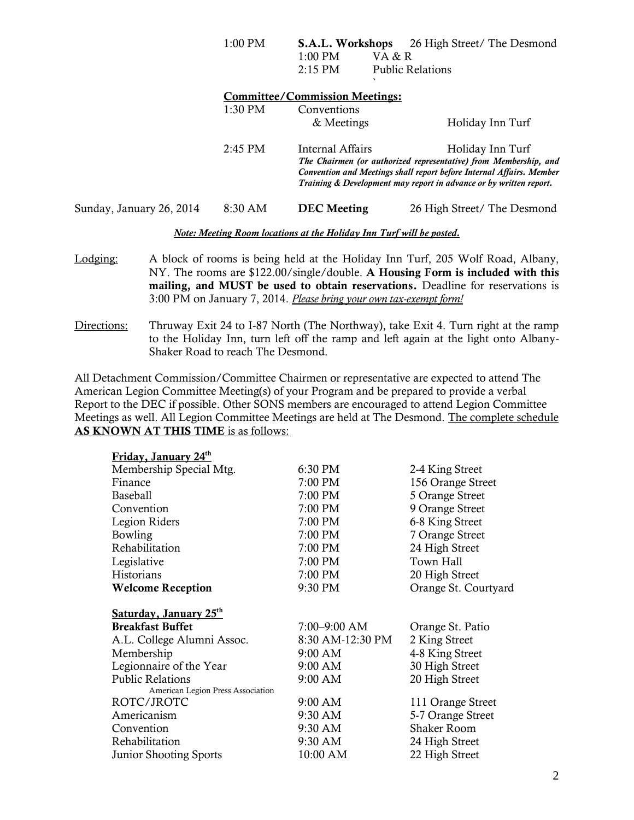|                          | 1:00 PM   | S.A.L. Workshops                      | 26 High Street/ The Desmond                                                                                                                                                                                                        |
|--------------------------|-----------|---------------------------------------|------------------------------------------------------------------------------------------------------------------------------------------------------------------------------------------------------------------------------------|
|                          |           | $1:00$ PM                             | VA & R                                                                                                                                                                                                                             |
|                          |           | $2:15$ PM                             | <b>Public Relations</b>                                                                                                                                                                                                            |
|                          |           | <b>Committee/Commission Meetings:</b> |                                                                                                                                                                                                                                    |
|                          | $1:30$ PM | Conventions                           |                                                                                                                                                                                                                                    |
|                          |           | & Meetings                            | Holiday Inn Turf                                                                                                                                                                                                                   |
|                          | $2:45$ PM | Internal Affairs                      | Holiday Inn Turf<br>The Chairmen (or authorized representative) from Membership, and<br>Convention and Meetings shall report before Internal Affairs. Member<br>Training & Development may report in advance or by written report. |
| Sunday, January 26, 2014 | $8:30$ AM | <b>DEC</b> Meeting                    | 26 High Street/ The Desmond                                                                                                                                                                                                        |

*Note: Meeting Room locations at the Holiday Inn Turf will be posted.*

- Lodging: A block of rooms is being held at the Holiday Inn Turf, 205 Wolf Road, Albany, NY. The rooms are \$122.00/single/double. **A Housing Form is included with this mailing, and MUST be used to obtain reservations.** Deadline for reservations is 3:00 PM on January 7, 2014. *Please bring your own tax-exempt form!*
- Directions: Thruway Exit 24 to I-87 North (The Northway), take Exit 4. Turn right at the ramp to the Holiday Inn, turn left off the ramp and left again at the light onto Albany- Shaker Road to reach The Desmond.

All Detachment Commission/Committee Chairmen or representative are expected to attend The American Legion Committee Meeting(s) of your Program and be prepared to provide a verbal Report to the DEC if possible. Other SONS members are encouraged to attend Legion Committee Meetings as well. All Legion Committee Meetings are held at The Desmond. The complete schedule **AS KNOWN AT THIS TIME** is as follows:

| Friday, January 24th              |                  |                      |
|-----------------------------------|------------------|----------------------|
| Membership Special Mtg.           | 6:30 PM          | 2-4 King Street      |
| Finance                           | 7:00 PM          | 156 Orange Street    |
| <b>Baseball</b>                   | 7:00 PM          | 5 Orange Street      |
| Convention                        | 7:00 PM          | 9 Orange Street      |
| Legion Riders                     | 7:00 PM          | 6-8 King Street      |
| Bowling                           | 7:00 PM          | 7 Orange Street      |
| Rehabilitation                    | 7:00 PM          | 24 High Street       |
| Legislative                       | 7:00 PM          | Town Hall            |
| Historians                        | 7:00 PM          | 20 High Street       |
| <b>Welcome Reception</b>          | 9:30 PM          | Orange St. Courtyard |
| Saturday, January 25th            |                  |                      |
| <b>Breakfast Buffet</b>           | 7:00-9:00 AM     | Orange St. Patio     |
| A.L. College Alumni Assoc.        | 8:30 AM-12:30 PM | 2 King Street        |
| Membership                        | 9:00 AM          | 4-8 King Street      |
| Legionnaire of the Year           | 9:00 AM          | 30 High Street       |
| <b>Public Relations</b>           | 9:00 AM          | 20 High Street       |
| American Legion Press Association |                  |                      |
| ROTC/JROTC                        | 9:00 AM          | 111 Orange Street    |
| Americanism                       | 9:30 AM          | 5-7 Orange Street    |
| Convention                        | 9:30 AM          | <b>Shaker Room</b>   |
| Rehabilitation                    | 9:30 AM          | 24 High Street       |
| <b>Junior Shooting Sports</b>     | 10:00 AM         | 22 High Street       |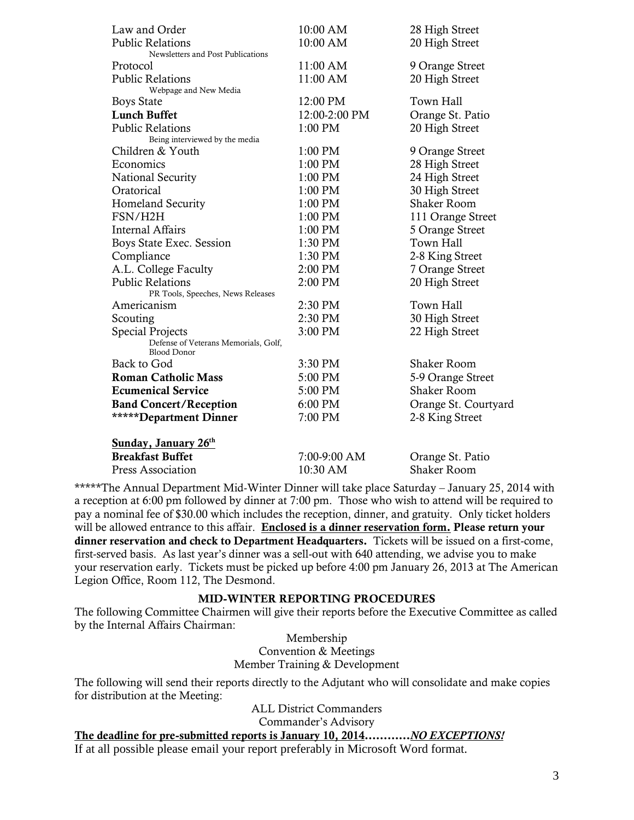| Law and Order                                             | 10:00 AM      | 28 High Street       |
|-----------------------------------------------------------|---------------|----------------------|
| <b>Public Relations</b>                                   | $10:00$ AM    | 20 High Street       |
| Newsletters and Post Publications                         |               |                      |
| Protocol                                                  | 11:00 AM      | 9 Orange Street      |
| <b>Public Relations</b>                                   | 11:00 AM      | 20 High Street       |
| Webpage and New Media                                     | 12:00 PM      | Town Hall            |
| <b>Boys State</b><br><b>Lunch Buffet</b>                  | 12:00-2:00 PM |                      |
|                                                           |               | Orange St. Patio     |
| <b>Public Relations</b><br>Being interviewed by the media | 1:00 PM       | 20 High Street       |
| Children & Youth                                          | $1:00$ PM     | 9 Orange Street      |
| Economics                                                 | 1:00 PM       | 28 High Street       |
| National Security                                         | 1:00 PM       | 24 High Street       |
| Oratorical                                                | 1:00 PM       | 30 High Street       |
| <b>Homeland Security</b>                                  | $1:00$ PM     | <b>Shaker Room</b>   |
| FSN/H2H                                                   | 1:00 PM       | 111 Orange Street    |
| <b>Internal Affairs</b>                                   | 1:00 PM       | 5 Orange Street      |
| Boys State Exec. Session                                  | 1:30 PM       | Town Hall            |
| Compliance                                                | 1:30 PM       | 2-8 King Street      |
| A.L. College Faculty                                      | 2:00 PM       | 7 Orange Street      |
| <b>Public Relations</b>                                   | 2:00 PM       | 20 High Street       |
| PR Tools, Speeches, News Releases                         |               |                      |
| Americanism                                               | 2:30 PM       | Town Hall            |
| Scouting                                                  | 2:30 PM       | 30 High Street       |
| <b>Special Projects</b>                                   | 3:00 PM       | 22 High Street       |
| Defense of Veterans Memorials, Golf,                      |               |                      |
| <b>Blood Donor</b><br>Back to God                         | 3:30 PM       | <b>Shaker Room</b>   |
| <b>Roman Catholic Mass</b>                                | 5:00 PM       | 5-9 Orange Street    |
| <b>Ecumenical Service</b>                                 | 5:00 PM       | <b>Shaker Room</b>   |
|                                                           | 6:00 PM       |                      |
| <b>Band Concert/Reception</b>                             |               | Orange St. Courtyard |
| ******Department Dinner                                   | 7:00 PM       | 2-8 King Street      |
| <b>Sunday, January 26th</b>                               |               |                      |
| <b>Breakfast Buffet</b>                                   | 7:00-9:00 AM  | Orange St. Patio     |
| <b>Press Association</b>                                  | 10:30 AM      | <b>Shaker Room</b>   |

\*\*\*\*\*The Annual Department Mid-Winter Dinner will take place Saturday – January 25, 2014 with a reception at 6:00 pm followed by dinner at 7:00 pm. Those who wish to attend will be required to pay a nominal fee of \$30.00 which includes the reception, dinner, and gratuity. Only ticket holders will be allowed entrance to this affair. **Enclosed is a dinner reservation form. Please return your dinner reservation and check to Department Headquarters.** Tickets will be issued on a first-come, first-served basis. As last year's dinner was a sell-out with 640 attending, we advise you to make your reservation early. Tickets must be picked up before 4:00 pm January 26, 2013 at The American Legion Office, Room 112, The Desmond.

#### **MID-WINTER REPORTING PROCEDURES**

The following Committee Chairmen will give their reports before the Executive Committee as called by the Internal Affairs Chairman:

> Membership Convention & Meetings Member Training & Development

The following will send their reports directly to the Adjutant who will consolidate and make copies for distribution at the Meeting:

> ALL District Commanders Commander's Advisory

#### **The deadline for pre-submitted reports is January 10, 2014…………***NO EXCEPTIONS!*

If at all possible please email your report preferably in Microsoft Word format.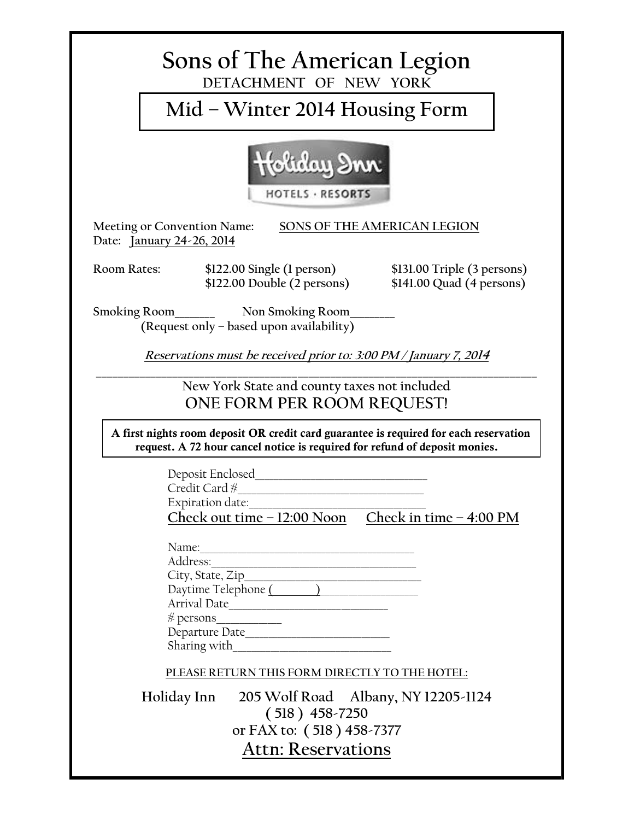| Sons of The American Legion<br>DETACHMENT OF NEW YORK                                                                                                               |  |  |
|---------------------------------------------------------------------------------------------------------------------------------------------------------------------|--|--|
| Mid – Winter 2014 Housing Form                                                                                                                                      |  |  |
| HOTELS · RESORTS                                                                                                                                                    |  |  |
| Meeting or Convention Name:<br>SONS OF THE AMERICAN LEGION<br>Date: January 24-26, 2014                                                                             |  |  |
| <b>Room Rates:</b><br>\$122.00 Single (1 person)<br>\$122.00 Double (2 persons)<br>$$131.00$ Triple (3 persons)<br>\$141.00 Quad (4 persons)                        |  |  |
| Smoking Room Non Smoking Room<br>(Request only - based upon availability)                                                                                           |  |  |
| Reservations must be received prior to: 3:00 PM / January 7, 2014                                                                                                   |  |  |
| New York State and county taxes not included<br>ONE FORM PER ROOM REQUEST!                                                                                          |  |  |
| A first nights room deposit OR credit card guarantee is required for each reservation<br>request. A 72 hour cancel notice is required for refund of deposit monies. |  |  |
| Deposit Enclosed<br>Credit Card #<br>Expiration date:<br>Check out time $-12:00$ Noon Check in time $-4:00$ PM                                                      |  |  |
| Arrival Date<br>Departure Date                                                                                                                                      |  |  |
| PLEASE RETURN THIS FORM DIRECTLY TO THE HOTEL:                                                                                                                      |  |  |
| Holiday Inn<br>205 Wolf Road Albany, NY 12205-1124<br>$(518) 458 - 7250$<br>or FAX to: (518) 458-7377<br><b>Attn: Reservations</b>                                  |  |  |